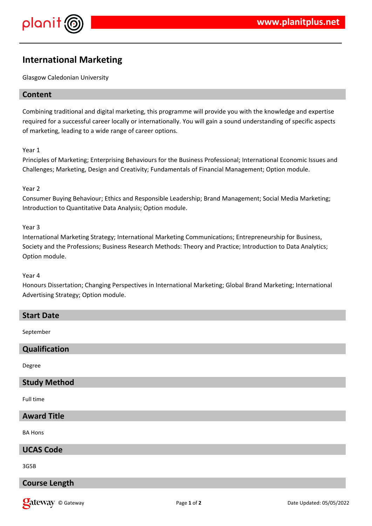

# **International Marketing**

Glasgow Caledonian University

# **Content**

Combining traditional and digital marketing, this programme will provide you with the knowledge and expertise required for a successful career locally or internationally. You will gain a sound understanding of specific aspects of marketing, leading to a wide range of career options.

### Year 1

Principles of Marketing; Enterprising Behaviours for the Business Professional; International Economic Issues and Challenges; Marketing, Design and Creativity; Fundamentals of Financial Management; Option module.

### Year 2

Consumer Buying Behaviour; Ethics and Responsible Leadership; Brand Management; Social Media Marketing; Introduction to Quantitative Data Analysis; Option module.

### Year 3

International Marketing Strategy; International Marketing Communications; Entrepreneurship for Business, Society and the Professions; Business Research Methods: Theory and Practice; Introduction to Data Analytics; Option module.

#### Year 4

Honours Dissertation; Changing Perspectives in International Marketing; Global Brand Marketing; International Advertising Strategy; Option module.

### **Start Date**

September

# **Qualification**

Degree

### **Study Method**

Full time

**Award Title**

BA Hons

# **UCAS Code**

3G5B

# **Course Length**

**Qateway** © Gateway **Page 1** of 2 Date Updated: 05/05/2022 Date Updated: 05/05/2022